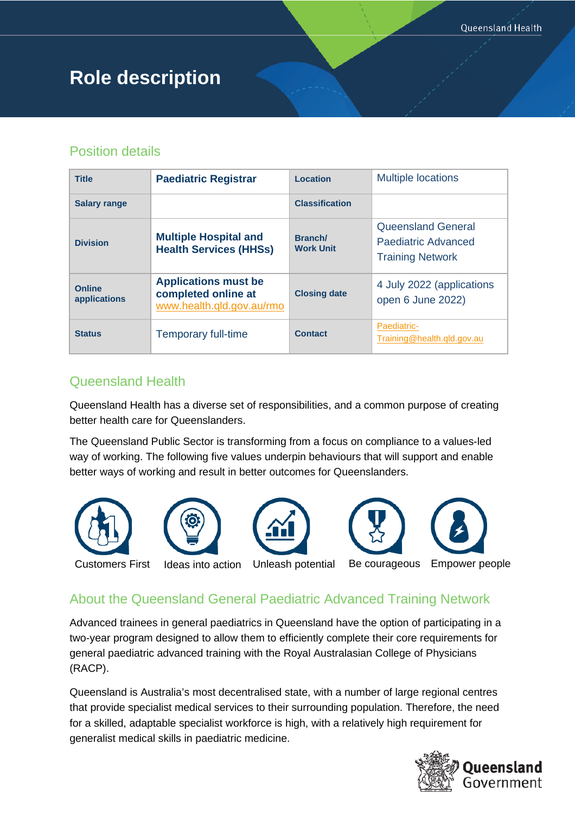# **Role description**

## Position details

| <b>Title</b>                  | <b>Paediatric Registrar</b>                                                     | Location                    | <b>Multiple locations</b>                                            |
|-------------------------------|---------------------------------------------------------------------------------|-----------------------------|----------------------------------------------------------------------|
| <b>Salary range</b>           |                                                                                 | <b>Classification</b>       |                                                                      |
| <b>Division</b>               | <b>Multiple Hospital and</b><br><b>Health Services (HHSs)</b>                   | Branch/<br><b>Work Unit</b> | Queensland General<br>Paediatric Advanced<br><b>Training Network</b> |
| <b>Online</b><br>applications | <b>Applications must be</b><br>completed online at<br>www.health.gld.gov.au/rmo | <b>Closing date</b>         | 4 July 2022 (applications<br>open 6 June 2022)                       |
| <b>Status</b>                 | Temporary full-time                                                             | <b>Contact</b>              | Paediatric-<br>Training@health.qld.gov.au                            |

# Queensland Health

Queensland Health has a diverse set of responsibilities, and a common purpose of creating better health care for Queenslanders.

The Queensland Public Sector is transforming from a focus on compliance to a values-led way of working. The following five values underpin behaviours that will support and enable better ways of working and result in better outcomes for Queenslanders.



# About the Queensland General Paediatric Advanced Training Network

Advanced trainees in general paediatrics in Queensland have the option of participating in a two-year program designed to allow them to efficiently complete their core requirements for general paediatric advanced training with the Royal Australasian College of Physicians (RACP).

Queensland is Australia's most decentralised state, with a number of large regional centres that provide specialist medical services to their surrounding population. Therefore, the need for a skilled, adaptable specialist workforce is high, with a relatively high requirement for generalist medical skills in paediatric medicine.

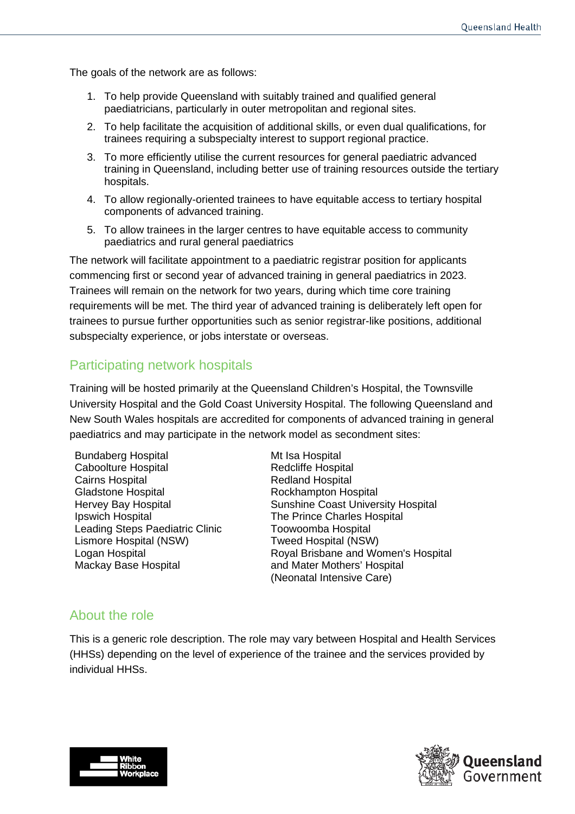The goals of the network are as follows:

- 1. To help provide Queensland with suitably trained and qualified general paediatricians, particularly in outer metropolitan and regional sites.
- 2. To help facilitate the acquisition of additional skills, or even dual qualifications, for trainees requiring a subspecialty interest to support regional practice.
- 3. To more efficiently utilise the current resources for general paediatric advanced training in Queensland, including better use of training resources outside the tertiary hospitals.
- 4. To allow regionally-oriented trainees to have equitable access to tertiary hospital components of advanced training.
- 5. To allow trainees in the larger centres to have equitable access to community paediatrics and rural general paediatrics

The network will facilitate appointment to a paediatric registrar position for applicants commencing first or second year of advanced training in general paediatrics in 2023. Trainees will remain on the network for two years, during which time core training requirements will be met. The third year of advanced training is deliberately left open for trainees to pursue further opportunities such as senior registrar-like positions, additional subspecialty experience, or jobs interstate or overseas.

### Participating network hospitals

Training will be hosted primarily at the Queensland Children's Hospital, the Townsville University Hospital and the Gold Coast University Hospital. The following Queensland and New South Wales hospitals are accredited for components of advanced training in general paediatrics and may participate in the network model as secondment sites:

Bundaberg Hospital Caboolture Hospital Cairns Hospital Gladstone Hospital Hervey Bay Hospital Ipswich Hospital Leading Steps Paediatric Clinic Lismore Hospital (NSW) Logan Hospital Mackay Base Hospital

Mt Isa Hospital Redcliffe Hospital Redland Hospital Rockhampton Hospital Sunshine Coast University Hospital The Prince Charles Hospital Toowoomba Hospital Tweed Hospital (NSW) Royal Brisbane and Women's Hospital and Mater Mothers' Hospital (Neonatal Intensive Care)

#### About the role

This is a generic role description. The role may vary between Hospital and Health Services (HHSs) depending on the level of experience of the trainee and the services provided by individual HHSs.



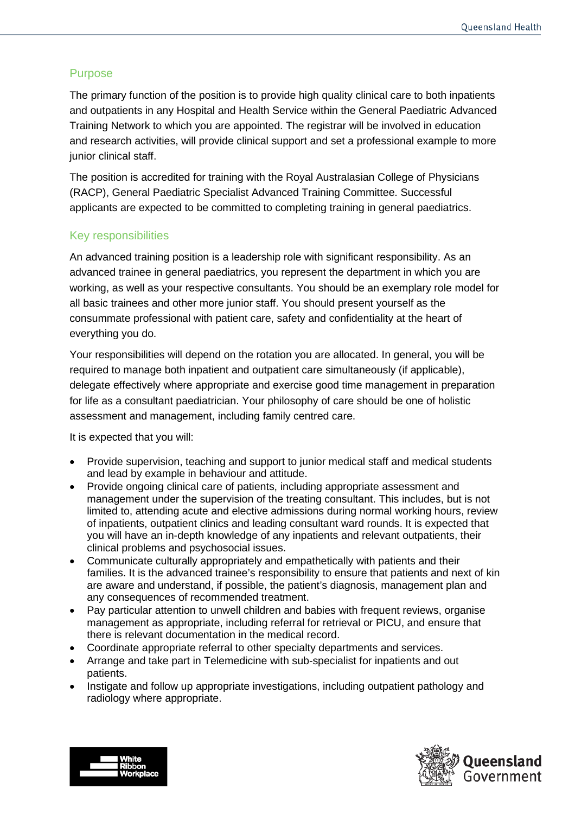#### Purpose

The primary function of the position is to provide high quality clinical care to both inpatients and outpatients in any Hospital and Health Service within the General Paediatric Advanced Training Network to which you are appointed. The registrar will be involved in education and research activities, will provide clinical support and set a professional example to more junior clinical staff.

The position is accredited for training with the Royal Australasian College of Physicians (RACP), General Paediatric Specialist Advanced Training Committee. Successful applicants are expected to be committed to completing training in general paediatrics.

#### Key responsibilities

An advanced training position is a leadership role with significant responsibility. As an advanced trainee in general paediatrics, you represent the department in which you are working, as well as your respective consultants. You should be an exemplary role model for all basic trainees and other more junior staff. You should present yourself as the consummate professional with patient care, safety and confidentiality at the heart of everything you do.

Your responsibilities will depend on the rotation you are allocated. In general, you will be required to manage both inpatient and outpatient care simultaneously (if applicable), delegate effectively where appropriate and exercise good time management in preparation for life as a consultant paediatrician. Your philosophy of care should be one of holistic assessment and management, including family centred care.

It is expected that you will:

- Provide supervision, teaching and support to junior medical staff and medical students and lead by example in behaviour and attitude.
- Provide ongoing clinical care of patients, including appropriate assessment and management under the supervision of the treating consultant. This includes, but is not limited to, attending acute and elective admissions during normal working hours, review of inpatients, outpatient clinics and leading consultant ward rounds. It is expected that you will have an in-depth knowledge of any inpatients and relevant outpatients, their clinical problems and psychosocial issues.
- Communicate culturally appropriately and empathetically with patients and their families. It is the advanced trainee's responsibility to ensure that patients and next of kin are aware and understand, if possible, the patient's diagnosis, management plan and any consequences of recommended treatment.
- Pay particular attention to unwell children and babies with frequent reviews, organise management as appropriate, including referral for retrieval or PICU, and ensure that there is relevant documentation in the medical record.
- Coordinate appropriate referral to other specialty departments and services.
- Arrange and take part in Telemedicine with sub-specialist for inpatients and out patients.
- Instigate and follow up appropriate investigations, including outpatient pathology and radiology where appropriate.



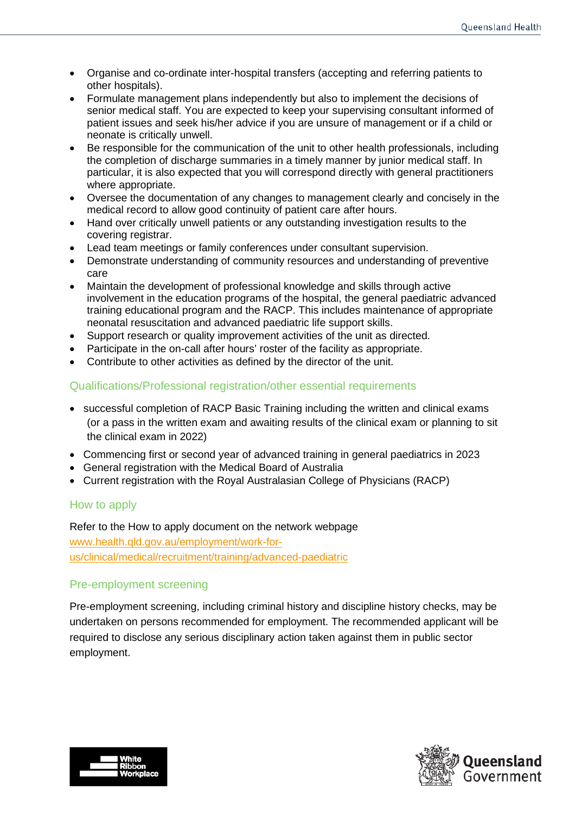- Organise and co-ordinate inter-hospital transfers (accepting and referring patients to other hospitals).
- Formulate management plans independently but also to implement the decisions of senior medical staff. You are expected to keep your supervising consultant informed of patient issues and seek his/her advice if you are unsure of management or if a child or neonate is critically unwell.
- Be responsible for the communication of the unit to other health professionals, including the completion of discharge summaries in a timely manner by junior medical staff. In particular, it is also expected that you will correspond directly with general practitioners where appropriate.
- Oversee the documentation of any changes to management clearly and concisely in the medical record to allow good continuity of patient care after hours.
- Hand over critically unwell patients or any outstanding investigation results to the covering registrar.
- Lead team meetings or family conferences under consultant supervision.
- Demonstrate understanding of community resources and understanding of preventive care
- Maintain the development of professional knowledge and skills through active involvement in the education programs of the hospital, the general paediatric advanced training educational program and the RACP. This includes maintenance of appropriate neonatal resuscitation and advanced paediatric life support skills.
- Support research or quality improvement activities of the unit as directed.
- Participate in the on-call after hours' roster of the facility as appropriate.
- Contribute to other activities as defined by the director of the unit.

#### Qualifications/Professional registration/other essential requirements

- successful completion of RACP Basic Training including the written and clinical exams (or a pass in the written exam and awaiting results of the clinical exam or planning to sit the clinical exam in 2022)
- Commencing first or second year of advanced training in general paediatrics in 2023
- General registration with the Medical Board of Australia
- Current registration with the Royal Australasian College of Physicians (RACP)

#### How to apply

Refer to the How to apply document on the network webpage [www.health.qld.gov.au/employment/work-for](http://www.health.qld.gov.au/employment/work-for-us/clinical/medical/recruitment/training/advanced-paediatric)[us/clinical/medical/recruitment/training/advanced-paediatric](http://www.health.qld.gov.au/employment/work-for-us/clinical/medical/recruitment/training/advanced-paediatric)

#### Pre-employment screening

Pre-employment screening, including criminal history and discipline history checks, may be undertaken on persons recommended for employment. The recommended applicant will be required to disclose any serious disciplinary action taken against them in public sector employment.